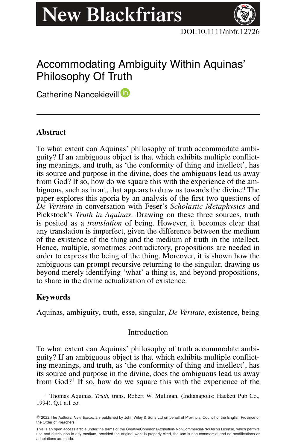# **New Blackfriars**



# Accommodating Ambiguity Within Aquinas' Philosophy Of Truth

Catherine Nancekievill<sup>(D</sup>

# **Abstract**

To what extent can Aquinas' philosophy of truth accommodate ambiguity? If an ambiguous object is that which exhibits multiple conflicting meanings, and truth, as 'the conformity of thing and intellect', has its source and purpose in the divine, does the ambiguous lead us away from God? If so, how do we square this with the experience of the ambiguous, such as in art, that appears to draw us towards the divine? The paper explores this aporia by an analysis of the first two questions of *De Veritate* in conversation with Feser's *Scholastic Metaphysics* and Pickstock's *Truth in Aquinas*. Drawing on these three sources, truth is posited as a *translation* of being. However, it becomes clear that any translation is imperfect, given the difference between the medium of the existence of the thing and the medium of truth in the intellect. Hence, multiple, sometimes contradictory, propositions are needed in order to express the being of the thing. Moreover, it is shown how the ambiguous can prompt recursive returning to the singular, drawing us beyond merely identifying 'what' a thing is, and beyond propositions, to share in the divine actualization of existence.

## **Keywords**

Aquinas, ambiguity, truth, esse, singular, *De Veritate*, existence, being

## Introduction

To what extent can Aquinas' philosophy of truth accommodate ambiguity? If an ambiguous object is that which exhibits multiple conflicting meanings, and truth, as 'the conformity of thing and intellect', has its source and purpose in the divine, does the ambiguous lead us away from  $God$ <sup>?1</sup> If so, how do we square this with the experience of the

<sup>1</sup> Thomas Aquinas, *Truth,* trans. Robert W. Mulligan, (Indianapolis: Hackett Pub Co., 1994), Q.1 a.1 co.

<sup>-</sup><sup>C</sup> 2022 The Authors. *New Blackfriars* published by John Wiley & Sons Ltd on behalf of Provincial Council of the English Province of the Order of Preachers

This is an open access article under the terms of the [CreativeCommonsAttribution-NonCommercial-NoDerivs](http://creativecommons.org/licenses/by-nc-nd/4.0/) License, which permits use and distribution in any medium, provided the original work is properly cited, the use is non-commercial and no modifications or adaptations are made.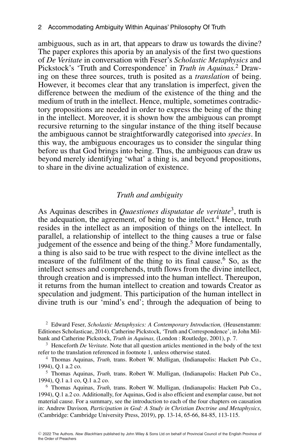ambiguous, such as in art, that appears to draw us towards the divine? The paper explores this aporia by an analysis of the first two questions of *De Veritate* in conversation with Feser's *Scholastic Metaphysics* and Pickstock's 'Truth and Correspondence' in *Truth in Aquinas.*<sup>2</sup> Drawing on these three sources, truth is posited as a *translation* of being. However, it becomes clear that any translation is imperfect, given the difference between the medium of the existence of the thing and the medium of truth in the intellect. Hence, multiple, sometimes contradictory propositions are needed in order to express the being of the thing in the intellect. Moreover, it is shown how the ambiguous can prompt recursive returning to the singular instance of the thing itself because the ambiguous cannot be straightforwardly categorised into *species*. In this way, the ambiguous encourages us to consider the singular thing before us that God brings into being. Thus, the ambiguous can draw us beyond merely identifying 'what' a thing is, and beyond propositions, to share in the divine actualization of existence.

#### *Truth and ambiguity*

As Aquinas describes in *Quaestiones disputatae de veritate*3, truth is the adequation, the agreement, of being to the intellect.<sup>4</sup> Hence, truth resides in the intellect as an imposition of things on the intellect. In parallel, a relationship of intellect to the thing causes a true or false judgement of the essence and being of the thing.<sup>5</sup> More fundamentally, a thing is also said to be true with respect to the divine intellect as the measure of the fulfilment of the thing to its final cause.<sup>6</sup> So, as the intellect senses and comprehends, truth flows from the divine intellect, through creation and is impressed into the human intellect. Thereupon, it returns from the human intellect to creation and towards Creator as speculation and judgment. This participation of the human intellect in divine truth is our 'mind's end'; through the adequation of being to

<sup>2</sup> Edward Feser, *Scholastic Metaphysics: A Contemporary Introduction,* (Heusenstamm: Editiones Scholasticae, 2014). Catherine Pickstock, 'Truth and Correspondence', in John Milbank and Catherine Pickstock, *Truth in Aquinas,* (London : Routledge, 2001), p. 7.

<sup>3</sup> Henceforth *De Veritate.* Note that all question articles mentioned in the body of the text refer to the translation referenced in footnote 1, unless otherwise stated.

<sup>4</sup> Thomas Aquinas, *Truth,* trans. Robert W. Mulligan, (Indianapolis: Hackett Pub Co., 1994), Q.1 a.2 co.

<sup>5</sup> Thomas Aquinas, *Truth,* trans. Robert W. Mulligan, (Indianapolis: Hackett Pub Co., 1994), Q.1 a.1 co, Q.1 a.2 co.

<sup>6</sup> Thomas Aquinas, *Truth,* trans. Robert W. Mulligan, (Indianapolis: Hackett Pub Co., 1994), Q.1 a.2 co. Additionally, for Aquinas, God is also efficient and exemplar cause, but not material cause. For a summary, see the introduction to each of the four chapters on causation in: Andrew Davison*, Participation in God: A Study in Christian Doctrine and Metaphysics*, (Cambridge: Cambridge University Press, 2019), pp. 13-14, 65-66, 84-85, 113-115.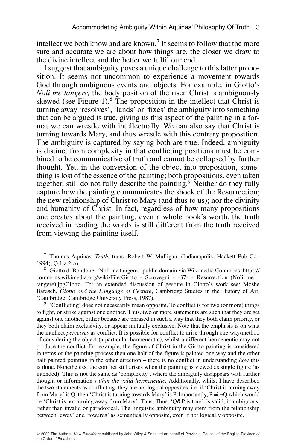intellect we both know and are known.<sup>7</sup> It seems to follow that the more sure and accurate we are about how things are, the closer we draw to the divine intellect and the better we fulfil our end.

I suggest that ambiguity poses a unique challenge to this latter proposition. It seems not uncommon to experience a movement towards God through ambiguous events and objects. For example, in Giotto's *Noli me tangere,* the body position of the risen Christ is ambiguously skewed (see Figure 1). $8$  The proposition in the intellect that Christ is turning away 'resolves', 'lands' or 'fixes' the ambiguity into something that can be argued is true, giving us this aspect of the painting in a format we can wrestle with intellectually. We can also say that Christ is turning towards Mary, and thus wrestle with this contrary proposition. The ambiguity is captured by saying both are true. Indeed, ambiguity is distinct from complexity in that conflicting positions must be combined to be communicative of truth and cannot be collapsed by further thought. Yet, in the conversion of the object into proposition, something is lost of the essence of the painting; both propositions, even taken together, still do not fully describe the painting.<sup>9</sup> Neither do they fully capture how the painting communicates the shock of the Resurrection; the new relationship of Christ to Mary (and thus to us); nor the divinity and humanity of Christ. In fact, regardless of how many propositions one creates about the painting, even a whole book's worth, the truth received in reading the words is still different from the truth received from viewing the painting itself.

<sup>7</sup> Thomas Aquinas, *Truth,* trans. Robert W. Mulligan, (Indianapolis: Hackett Pub Co., 1994), Q.1 a.2 co.

<sup>8</sup> Giotto di Bondone, 'Noli me tangere,' public domain via Wikimedia Commons, [https://](https://commons.wikimedia.org/wiki/File:Giotto_-_Scrovegni_-_-37-_-_Resurrection_(Noli_me_tangere).jpgGiotto) [commons.wikimedia.org/wiki/File:Giotto\\_-\\_Scrovegni\\_-\\_-37-\\_-\\_Resurrection\\_\(Noli\\_me\\_](https://commons.wikimedia.org/wiki/File:Giotto_-_Scrovegni_-_-37-_-_Resurrection_(Noli_me_tangere).jpgGiotto) [tangere\).jpgGiotto.](https://commons.wikimedia.org/wiki/File:Giotto_-_Scrovegni_-_-37-_-_Resurrection_(Noli_me_tangere).jpgGiotto) For an extended discussion of gesture in Giotto's work see: Moshe Barasch, *Giotto and the Language of Gesture*, Cambridge Studies in the History of Art, (Cambridge: Cambridge University Press, 1987).

<sup>9</sup> 'Conflicting' does not necessarily mean opposite. To conflict is for two (or more) things to fight, or strike against one another. Thus, two or more statements are such that they are set against one another, either because are phrased in such a way that they both claim priority, or they both claim exclusivity, or appear mutually exclusive. Note that the emphasis is on what the intellect *perceives* as conflict. It is possible for conflict to arise through one way/method of considering the object (a particular hermeneutic), whilst a different hermeneutic may not produce the conflict. For example, the figure of Christ in the Giotto painting is considered in terms of the painting process then one half of the figure is painted one way and the other half painted pointing in the other direction – there is no conflict in understanding *how* this is done. Nonetheless, the conflict still arises when the painting is viewed as single figure (as intended). This is not the same as 'complexity', where the ambiguity disappears with further thought or information *within the valid hermeneutic.* Additionally, whilst I have described the two statements as conflicting, they are not logical opposites. i.e. if 'Christ is turning away from Mary' is Q, then 'Christ is turning towards Mary' is P. Importantly,  $P \neq \neg Q$  which would be 'Christ is not turning away from Mary'. Thus, Thus, 'Q&P is true', is valid, if ambiguous, rather than invalid or paradoxical. The linguistic ambiguity may stem from the relationship between 'away' and 'towards' as semantically opposite, even if not logically opposite.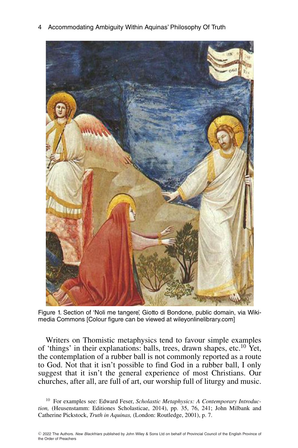4 Accommodating Ambiguity Within Aquinas' Philosophy Of Truth



Figure 1. Section of 'Noli me tangere', Giotto di Bondone, public domain, via Wikimedia Commons [Colour figure can be viewed at wileyonlinelibrary.com]

Writers on Thomistic metaphysics tend to favour simple examples of 'things' in their explanations: balls, trees, drawn shapes, etc.10 Yet, the contemplation of a rubber ball is not commonly reported as a route to God. Not that it isn't possible to find God in a rubber ball, I only suggest that it isn't the general experience of most Christians. Our churches, after all, are full of art, our worship full of liturgy and music.

<sup>10</sup> For examples see: Edward Feser, *Scholastic Metaphysics: A Contemporary Introduction,* (Heusenstamm: Editiones Scholasticae, 2014), pp. 35, 76, 241; John Milbank and Catherine Pickstock, *Truth in Aquinas,* (London: Routledge, 2001), p. 7.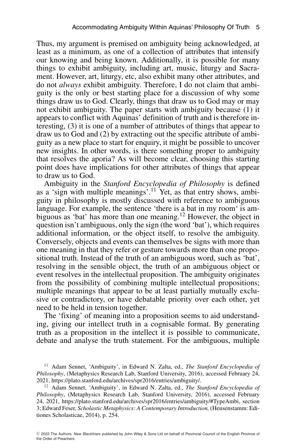Thus, my argument is premised on ambiguity being acknowledged, at least as a minimum, as one of a collection of attributes that intensify our knowing and being known. Additionally, it is possible for many things to exhibit ambiguity, including art, music, liturgy and Sacrament. However, art, liturgy, etc, also exhibit many other attributes, and do not *always* exhibit ambiguity. Therefore, I do not claim that ambiguity is the only or best starting place for a discussion of why some things draw us to God. Clearly, things that draw us to God may or may not exhibit ambiguity. The paper starts with ambiguity because (1) it appears to conflict with Aquinas' definition of truth and is therefore interesting, (3) it is one of a number of attributes of things that appear to draw us to God and (2) by extracting out the specific attribute of ambiguity as a new place to start for enquiry, it might be possible to uncover new insights. In other words, is there something proper to ambiguity that resolves the aporia? As will become clear, choosing this starting point does have implications for other attributes of things that appear to draw us to God.

Ambiguity in the *Stanford Encyclopedia of Philosophy* is defined as a 'sign with multiple meanings'.11 Yet, as that entry shows, ambiguity in philosophy is mostly discussed with reference to ambiguous language. For example, the sentence 'there is a bat in my room' is ambiguous as 'bat' has more than one meaning.<sup>12</sup> However, the object in question isn't ambiguous, only the sign (the word 'bat'), which requires additional information, or the object itself, to resolve the ambiguity. Conversely, objects and events can themselves be signs with more than one meaning in that they refer or gesture towards more than one propositional truth. Instead of the truth of an ambiguous word, such as 'bat', resolving in the sensible object, the truth of an ambiguous object or event resolves in the intellectual proposition. The ambiguity originates from the possibility of combining multiple intellectual propositions; multiple meanings that appear to be at least partially mutually exclusive or contradictory, or have debatable priority over each other, yet need to be held in tension together.

The 'fixing' of meaning into a proposition seems to aid understanding, giving our intellect truth in a cognisable format. By generating truth as a proposition in the intellect it is possible to communicate, debate and analyse the truth statement. For the ambiguous, multiple

<sup>&</sup>lt;sup>11</sup> Adam Sennet, 'Ambiguity', in Edward N. Zalta, ed., *The Stanford Encyclopedia of Philosophy*, (Metaphysics Research Lab, Stanford University, 2016), accessed February 24, 2021, https://plato.stanford.edu/archives/spr2016/entries/ambiguity/.

<sup>12</sup> Adam Sennet, 'Ambiguity', in Edward N. Zalta, ed., *The Stanford Encyclopedia of Philosophy*, (Metaphysics Research Lab, Stanford University, 2016), accessed February 24, 2021, [https://plato.stanford.edu/archives/spr2016/entries/ambiguity/#TypeAmbi,](https://plato.stanford.edu/archives/spr2016/entries/ambiguity/#TypeAmbi) section 3; Edward Feser, *Scholastic Metaphysics: A Contemporary Introduction,* (Heusenstamm: Editiones Scholasticae, 2014), p. 254.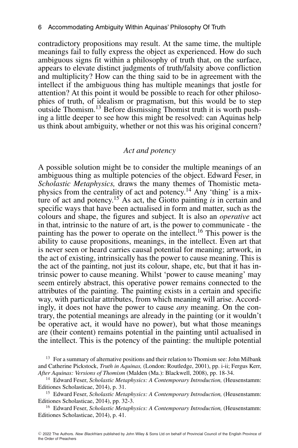contradictory propositions may result. At the same time, the multiple meanings fail to fully express the object as experienced. How do such ambiguous signs fit within a philosophy of truth that, on the surface, appears to elevate distinct judgments of truth/falsity above confliction and multiplicity? How can the thing said to be in agreement with the intellect if the ambiguous thing has multiple meanings that jostle for attention? At this point it would be possible to reach for other philosophies of truth, of idealism or pragmatism, but this would be to step outside Thomism.13 Before dismissing Thomist truth it is worth pushing a little deeper to see how this might be resolved: can Aquinas help us think about ambiguity, whether or not this was his original concern?

#### *Act and potency*

A possible solution might be to consider the multiple meanings of an ambiguous thing as multiple potencies of the object. Edward Feser, in *Scholastic Metaphysics,* draws the many themes of Thomistic metaphysics from the centrality of act and potency.14 Any 'thing' is a mixture of act and potency.<sup>15</sup> As act, the Giotto painting *is* in certain and specific ways that have been actualised in form and matter, such as the colours and shape, the figures and subject. It is also an *operative* act in that, intrinsic to the nature of art, is the power to communicate - the painting has the power to operate on the intellect.<sup>16</sup> This power is the ability to cause propositions, meanings, in the intellect. Even art that is never seen or heard carries causal potential for meaning; artwork, in the act of existing, intrinsically has the power to cause meaning. This is the act of the painting, not just its colour, shape, etc, but that it has intrinsic power to cause meaning. Whilst 'power to cause meaning' may seem entirely abstract, this operative power remains connected to the attributes of the painting. The painting exists in a certain and specific way, with particular attributes, from which meaning will arise. Accordingly, it does not have the power to cause *any* meaning. On the contrary, the potential meanings are already in the painting (or it wouldn't be operative act, it would have no power), but what those meanings are (their content) remains potential in the painting until actualised in the intellect. This is the potency of the painting: the multiple potential

<sup>&</sup>lt;sup>13</sup> For a summary of alternative positions and their relation to Thomism see: John Milbank and Catherine Pickstock, *Truth in Aquinas,* (London: Routledge, 2001), pp. i-ii; Fergus Kerr, *After Aquinas: Versions of Thomism* (Malden (Ma.): Blackwell, 2008), pp. 18-34.

<sup>14</sup> Edward Feser, *Scholastic Metaphysics: A Contemporary Introduction,* (Heusenstamm: Editiones Scholasticae, 2014), p. 31.

<sup>15</sup> Edward Feser, *Scholastic Metaphysics: A Contemporary Introduction,* (Heusenstamm: Editiones Scholasticae, 2014), pp. 32-3.

<sup>16</sup> Edward Feser, *Scholastic Metaphysics: A Contemporary Introduction,* (Heusenstamm: Editiones Scholasticae, 2014), p. 41.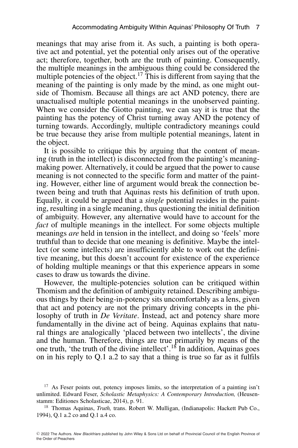meanings that may arise from it. As such, a painting is both operative act and potential, yet the potential only arises out of the operative act; therefore, together, both are the truth of painting. Consequently, the multiple meanings in the ambiguous thing could be considered the multiple potencies of the object.<sup>17</sup> This is different from saying that the meaning of the painting is only made by the mind, as one might outside of Thomism. Because all things are act AND potency, there are unactualised multiple potential meanings in the unobserved painting. When we consider the Giotto painting, we can say it is true that the painting has the potency of Christ turning away AND the potency of turning towards. Accordingly, multiple contradictory meanings could be true because they arise from multiple potential meanings, latent in the object.

It is possible to critique this by arguing that the content of meaning (truth in the intellect) is disconnected from the painting's meaningmaking power. Alternatively, it could be argued that the power to cause meaning is not connected to the specific form and matter of the painting. However, either line of argument would break the connection between being and truth that Aquinas rests his definition of truth upon. Equally, it could be argued that a *single* potential resides in the painting, resulting in a single meaning, thus questioning the initial definition of ambiguity. However, any alternative would have to account for the *fact* of multiple meanings in the intellect. For some objects multiple meanings *are* held in tension in the intellect, and doing so 'feels' more truthful than to decide that one meaning is definitive. Maybe the intellect (or some intellects) are insufficiently able to work out the definitive meaning, but this doesn't account for existence of the experience of holding multiple meanings or that this experience appears in some cases to draw us towards the divine.

However, the multiple-potencies solution can be critiqued within Thomism and the definition of ambiguity retained. Describing ambiguous things by their being-in-potency sits uncomfortably as a lens, given that act and potency are not the primary driving concepts in the philosophy of truth in *De Veritate*. Instead, act and potency share more fundamentally in the divine act of being. Aquinas explains that natural things are analogically 'placed between two intellects', the divine and the human. Therefore, things are true primarily by means of the one truth, 'the truth of the divine intellect'.18 In addition, Aquinas goes on in his reply to Q.1 a.2 to say that a thing is true so far as it fulfils

<sup>&</sup>lt;sup>17</sup> As Feser points out, potency imposes limits, so the interpretation of a painting isn't unlimited. Edward Feser, *Scholastic Metaphysics: A Contemporary Introduction,* (Heusenstamm: Editiones Scholasticae, 2014), p. 91.

<sup>18</sup> Thomas Aquinas, *Truth,* trans. Robert W. Mulligan, (Indianapolis: Hackett Pub Co., 1994), Q.1 a.2 co and Q.1 a.4 co.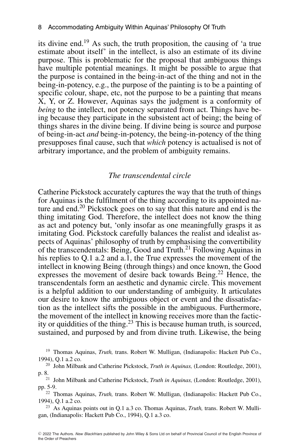its divine end.19 As such, the truth proposition, the causing of 'a true estimate about itself' in the intellect, is also an estimate of its divine purpose. This is problematic for the proposal that ambiguous things have multiple potential meanings. It might be possible to argue that the purpose is contained in the being-in-act of the thing and not in the being-in-potency, e.g., the purpose of the painting is to be a painting of specific colour, shape, etc, not the purpose to be a painting that means X, Y, or Z. However, Aquinas says the judgment is a conformity of *being* to the intellect, not potency separated from act. Things have being because they participate in the subsistent act of being; the being of things shares in the divine being. If divine being is source and purpose of being-in-act *and* being-in-potency, the being-in-potency of the thing presupposes final cause, such that *which* potency is actualised is not of arbitrary importance, and the problem of ambiguity remains.

#### *The transcendental circle*

Catherine Pickstock accurately captures the way that the truth of things for Aquinas is the fulfilment of the thing according to its appointed nature and end.20 Pickstock goes on to say that this nature and end is the thing imitating God. Therefore, the intellect does not know the thing as act and potency but, 'only insofar as one meaningfully grasps it as imitating God. Pickstock carefully balances the realist and idealist aspects of Aquinas' philosophy of truth by emphasising the convertibility of the transcendentals: Being, Good and Truth.<sup>21</sup> Following Aquinas in his replies to Q.1 a.2 and a.1, the True expresses the movement of the intellect in knowing Being (through things) and once known, the Good expresses the movement of desire back towards Being.<sup>22</sup> Hence, the transcendentals form an aesthetic and dynamic circle. This movement is a helpful addition to our understanding of ambiguity. It articulates our desire to know the ambiguous object or event and the dissatisfaction as the intellect sifts the possible in the ambiguous. Furthermore, the movement of the intellect in knowing receives more than the facticity or quiddities of the thing.23 This is because human truth, is sourced, sustained, and purposed by and from divine truth. Likewise, the being

<sup>19</sup> Thomas Aquinas, *Truth*, trans. Robert W. Mulligan, (Indianapolis: Hackett Pub Co., 1994), Q.1 a.2 co.

<sup>20</sup> John Milbank and Catherine Pickstock, *Truth in Aquinas,* (London: Routledge, 2001),

p. 8.21 John Milbank and Catherine Pickstock, *Truth in Aquinas,* (London: Routledge, 2001), pp. 5-9.

<sup>22</sup> Thomas Aquinas, *Truth,* trans. Robert W. Mulligan, (Indianapolis: Hackett Pub Co., 1994), Q.1 a.2 co.

<sup>23</sup> As Aquinas points out in Q.1 a.3 co. Thomas Aquinas, *Truth,* trans. Robert W. Mulligan, (Indianapolis: Hackett Pub Co., 1994), Q.1 a.3 co.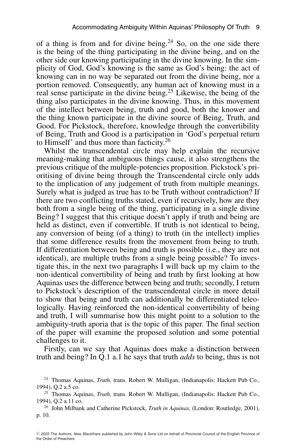of a thing is from and for divine being.<sup>24</sup> So, on the one side there is the being of the thing participating in the divine being, and on the other side our knowing participating in the divine knowing. In the simplicity of God, God's knowing is the same as God's being: the act of knowing can in no way be separated out from the divine being, nor a portion removed. Consequently, any human act of knowing must in a real sense participate in the divine being.<sup>25</sup> Likewise, the being of the thing also participates in the divine knowing. Thus, in this movement of the intellect between being, truth and good, both the knower and the thing known participate in the divine source of Being, Truth, and Good. For Pickstock, therefore, knowledge through the convertibility of Being, Truth and Good is a participation in 'God's perpetual return to Himself' and thus more than facticity.<sup>26</sup>

Whilst the transcendental circle may help explain the recursive meaning-making that ambiguous things cause, it also strengthens the previous critique of the multiple-potencies proposition. Pickstock's prioritising of divine being through the Transcendental circle only adds to the implication of any judgement of truth from multiple meanings. Surely what is judged as true has to be Truth without contradiction? If there are two conflicting truths stated, even if recursively, how are they both from a single being of the thing, participating in a single divine Being? I suggest that this critique doesn't apply if truth and being are held as distinct, even if convertible. If truth is not identical to being, any conversion of being (of a thing) to truth (in the intellect) implies that some difference results from the movement from being to truth. If differentiation between being and truth is possible (i.e., they are not identical), are multiple truths from a single being possible? To investigate this, in the next two paragraphs I will back up my claim to the non-identical convertibility of being and truth by first looking at how Aquinas uses the difference between being and truth; secondly, I return to Pickstock's description of the transcendental circle in more detail to show that being and truth can additionally be differentiated teleologically. Having reinforced the non-identical convertibility of being and truth, I will summarise how this might point to a solution to the ambiguity-truth aporia that is the topic of this paper. The final section of the paper will examine the proposed solution and some potential challenges to it.

Firstly, can we say that Aquinas does make a distinction between truth and being? In Q.1 a.1 he says that truth *adds* to being, thus is not

<sup>24</sup> Thomas Aquinas, *Truth,* trans. Robert W. Mulligan, (Indianapolis: Hackett Pub Co., 1994), Q.2 a.5 co.

<sup>25</sup> Thomas Aquinas, *Truth,* trans. Robert W. Mulligan, (Indianapolis: Hackett Pub Co., 1994), Q.2 a.11 co.

<sup>26</sup> John Milbank and Catherine Pickstock, *Truth in Aquinas,* (London: Routledge, 2001), p. 10.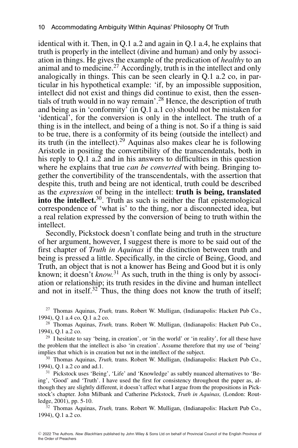identical with it. Then, in Q.1 a.2 and again in Q.1 a.4, he explains that truth is properly in the intellect (divine and human) and only by association in things. He gives the example of the predication of *healthy* to an animal and to medicine.<sup>27</sup> Accordingly, truth is in the intellect and only analogically in things. This can be seen clearly in Q.1 a.2 co, in particular in his hypothetical example: 'if, by an impossible supposition, intellect did not exist and things did continue to exist, then the essentials of truth would in no way remain'.28 Hence, the description of truth and being as in 'conformity' (in Q.1 a.1 co) should not be mistaken for 'identical', for the conversion is only in the intellect. The truth of a thing is in the intellect, and being of a thing is not. So if a thing is said to be true, there is a conformity of its being (outside the intellect) and its truth (in the intellect).<sup>29</sup> Aquinas also makes clear he is following Aristotle in positing the convertibility of the transcendentals, both in his reply to Q.1 a.2 and in his answers to difficulties in this question where he explains that true *can be converted* with being. Bringing together the convertibility of the transcendentals, with the assertion that despite this, truth and being are not identical, truth could be described as the *expression* of being in the intellect: **truth is being, translated into the intellect.**<sup>30</sup>. Truth as such is neither the flat epistemological correspondence of 'what is' to the thing, nor a disconnected idea, but a real relation expressed by the conversion of being to truth within the intellect.

Secondly, Pickstock doesn't conflate being and truth in the structure of her argument, however, I suggest there is more to be said out of the first chapter of *Truth in Aquinas* if the distinction between truth and being is pressed a little. Specifically, in the circle of Being, Good, and Truth, an object that is not a knower has Being and Good but it is only known; it doesn't *know.*<sup>31</sup> As such, truth in the thing is only by association or relationship; its truth resides in the divine and human intellect and not in itself.<sup>32</sup> Thus, the thing does not know the truth of itself;

<sup>27</sup> Thomas Aquinas, *Truth,* trans. Robert W. Mulligan, (Indianapolis: Hackett Pub Co., 1994), Q.1 a.4 co, Q.1 a.2 co.

<sup>28</sup> Thomas Aquinas, *Truth,* trans. Robert W. Mulligan, (Indianapolis: Hackett Pub Co., 1994), Q.1 a.2 co.

<sup>29</sup> I hesitate to say 'being, in creation', or 'in the world' or 'in reality', for all these have the problem that the intellect is also 'in creation'. Assume therefore that my use of 'being' implies that which is in creation but not in the intellect of the subject.

<sup>30</sup> Thomas Aquinas, *Truth,* trans. Robert W. Mulligan, (Indianapolis: Hackett Pub Co., 1994), Q.1 a.2 co and ad.1.

<sup>31</sup> Pickstock uses 'Being', 'Life' and 'Knowledge' as subtly nuanced alternatives to 'Being', 'Good' and 'Truth'. I have used the first for consistency throughout the paper as, although they are slightly different, it doesn't affect what I argue from the propositions in Pickstock's chapter. John Milbank and Catherine Pickstock, *Truth in Aquinas,* (London: Routledge, 2001), pp. 5-10.

<sup>32</sup> Thomas Aquinas, *Truth,* trans. Robert W. Mulligan, (Indianapolis: Hackett Pub Co., 1994), Q.1 a.2 co.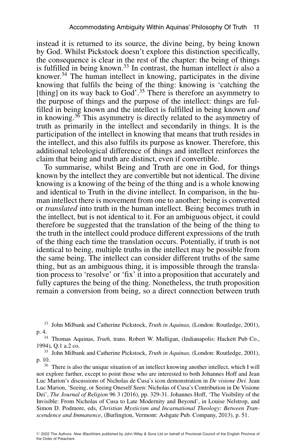instead it is returned to its source, the divine being, by being known by God. Whilst Pickstock doesn't explore this distinction specifically, the consequence is clear in the rest of the chapter: the being of things is fulfilled in being known.33 In contrast, the human intellect *is* also a knower. $34$  The human intellect in knowing, participates in the divine knowing that fulfils the being of the thing: knowing is 'catching the [thing] on its way back to God'.<sup>35</sup> There is therefore an asymmetry to the purpose of things and the purpose of the intellect: things are fulfilled in being known and the intellect is fulfilled in being known *and* in knowing.<sup>36</sup> This asymmetry is directly related to the asymmetry of truth as primarily in the intellect and secondarily in things. It is the participation of the intellect in knowing that means that truth resides in the intellect, and this also fulfils its purpose as knower. Therefore, this additional teleological difference of things and intellect reinforces the claim that being and truth are distinct, even if convertible.

To summarise, whilst Being and Truth are one in God, for things known by the intellect they are convertible but not identical. The divine knowing is a knowing of the being of the thing and is a whole knowing and identical to Truth in the divine intellect. In comparison, in the human intellect there is movement from one to another: being is converted or *translated* into truth in the human intellect. Being becomes truth in the intellect, but is not identical to it. For an ambiguous object, it could therefore be suggested that the translation of the being of the thing to the truth in the intellect could produce different expressions of the truth of the thing each time the translation occurs. Potentially, if truth is not identical to being, multiple truths in the intellect may be possible from the same being. The intellect can consider different truths of the same thing, but as an ambiguous thing, it is impossible through the translation process to 'resolve' or 'fix' it into a proposition that accurately and fully captures the being of the thing. Nonetheless, the truth proposition remain a conversion from being, so a direct connection between truth

<sup>36</sup> There is also the unique situation of an intellect knowing another intellect, which I will not explore further, except to point those who are interested to both Johannes Hoff and Jean Luc Marion's discussions of Nicholas de Cusa's icon demonstration in *De visione Dei.* Jean Luc Marion, 'Seeing, or Seeing Oneself Seen: Nicholas of Cusa's Contribution in De Visione Dei', *The Journal of Religion* 96 3 (2016), pp. 329-31. Johannes Hoff, 'The Visibility of the Invisible: From Nicholas of Cusa to Late Modernity and Beyond', in Louise Nelstrop, and Simon D. Podmore, eds, *Christian Mysticism and Incarnational Theology: Between Transcendence and Immanence*, (Burlington, Vermont: Ashgate Pub. Company, 2013), p. 51.

<sup>33</sup> John Milbank and Catherine Pickstock, *Truth in Aquinas,* (London: Routledge, 2001), p. 4.34 Thomas Aquinas, *Truth,* trans. Robert W. Mulligan, (Indianapolis: Hackett Pub Co.,

<sup>1994),</sup> Q.1 a.2 co.

<sup>35</sup> John Milbank and Catherine Pickstock, *Truth in Aquinas,* (London: Routledge, 2001), p. 10.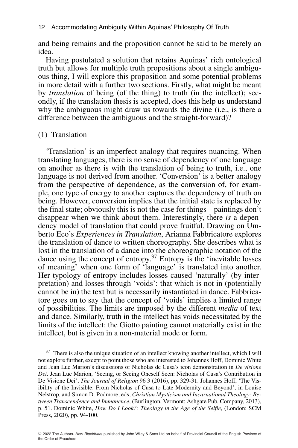and being remains and the proposition cannot be said to be merely an idea.

Having postulated a solution that retains Aquinas' rich ontological truth but allows for multiple truth propositions about a single ambiguous thing, I will explore this proposition and some potential problems in more detail with a further two sections. Firstly, what might be meant by *translation* of being (of the thing) to truth (in the intellect); secondly, if the translation thesis is accepted, does this help us understand why the ambiguous might draw us towards the divine (i.e., is there a difference between the ambiguous and the straight-forward)?

#### (1) Translation

'Translation' is an imperfect analogy that requires nuancing. When translating languages, there is no sense of dependency of one language on another as there is with the translation of being to truth, i.e., one language is not derived from another. 'Conversion' is a better analogy from the perspective of dependence, as the conversion of, for example, one type of energy to another captures the dependency of truth on being. However, conversion implies that the initial state is replaced by the final state; obviously this is not the case for things – paintings don't disappear when we think about them. Interestingly, there *is* a dependency model of translation that could prove fruitful. Drawing on Umberto Eco's *Experiences in Translation*, Arianna Fabbricatore explores the translation of dance to written choreography. She describes what is lost in the translation of a dance into the choreographic notation of the dance using the concept of entropy.37 Entropy is the 'inevitable losses of meaning' when one form of 'language' is translated into another. Her typology of entropy includes losses caused 'naturally' (by interpretation) and losses through 'voids': that which is not in (potentially cannot be in) the text but is necessarily instantiated in dance. Fabbricatore goes on to say that the concept of 'voids' implies a limited range of possibilities. The limits are imposed by the different *media* of text and dance. Similarly, truth in the intellect has voids necessitated by the limits of the intellect: the Giotto painting cannot materially exist in the intellect, but is given in a non-material mode or form.

<sup>37</sup> There is also the unique situation of an intellect knowing another intellect, which I will not explore further, except to point those who are interested to Johannes Hoff, Dominic White and Jean Luc Marion's discussions of Nicholas de Cusa's icon demonstration in *De visione Dei*. Jean Luc Marion, 'Seeing, or Seeing Oneself Seen: Nicholas of Cusa's Contribution in De Visione Dei', *The Journal of Religion* 96 3 (2016), pp. 329-31. Johannes Hoff, 'The Visibility of the Invisible: From Nicholas of Cusa to Late Modernity and Beyond', in Louise Nelstrop, and Simon D. Podmore, eds, *Christian Mysticism and Incarnational Theology: Between Transcendence and Immanence*, (Burlington, Vermont: Ashgate Pub. Company, 2013), p. 51. Dominic White, *How Do I Look?: Theology in the Age of the Selfie*, (London: SCM Press, 2020), pp. 94-100.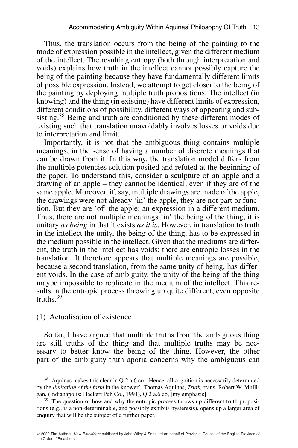Thus, the translation occurs from the being of the painting to the mode of expression possible in the intellect, given the different medium of the intellect. The resulting entropy (both through interpretation and voids) explains how truth in the intellect cannot possibly capture the being of the painting because they have fundamentally different limits of possible expression. Instead, we attempt to get closer to the being of the painting by deploying multiple truth propositions. The intellect (in knowing) and the thing (in existing) have different limits of expression, different conditions of possibility, different ways of appearing and subsisting.<sup>38</sup> Being and truth are conditioned by these different modes of existing such that translation unavoidably involves losses or voids due to interpretation and limit.

Importantly, it is not that the ambiguous thing contains multiple meanings, in the sense of having a number of discrete meanings that can be drawn from it. In this way, the translation model differs from the multiple potencies solution posited and refuted at the beginning of the paper. To understand this, consider a sculpture of an apple and a drawing of an apple – they cannot be identical, even if they are of the same apple. Moreover, if, say, multiple drawings are made of the apple, the drawings were not already 'in' the apple, they are not part or function. But they are 'of' the apple: an expression in a different medium. Thus, there are not multiple meanings 'in' the being of the thing, it is unitary *as being* in that it exists *as it is*. However, in translation to truth in the intellect the unity, the being of the thing, has to be expressed in the medium possible in the intellect. Given that the mediums are different, the truth in the intellect has voids: there are entropic losses in the translation. It therefore appears that multiple meanings are possible, because a second translation, from the same unity of being, has different voids. In the case of ambiguity, the unity of the being of the thing maybe impossible to replicate in the medium of the intellect. This results in the entropic process throwing up quite different, even opposite truths $39$ 

#### (1) Actualisation of existence

So far, I have argued that multiple truths from the ambiguous thing are still truths of the thing and that multiple truths may be necessary to better know the being of the thing. However, the other part of the ambiguity-truth aporia concerns why the ambiguous can

<sup>&</sup>lt;sup>38</sup> Aquinas makes this clear in Q.2 a.6 co: 'Hence, all cognition is necessarily determined by the *limitation of the form* in the knower'. Thomas Aquinas, *Truth,* trans. Robert W. Mulligan, (Indianapolis: Hackett Pub Co., 1994), Q.2 a.6 co, [my emphasis].

<sup>&</sup>lt;sup>39</sup> The question of how and why the entropic process throws up different truth propositions (e.g., is a non-determinable, and possibly exhibits hysteresis), opens up a larger area of enquiry that will be the subject of a further paper.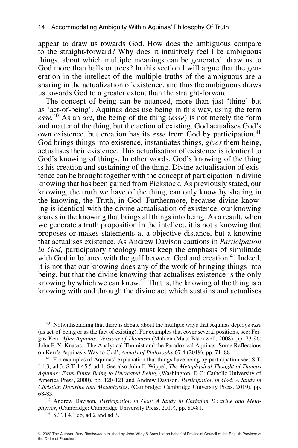appear to draw us towards God. How does the ambiguous compare to the straight-forward? Why does it intuitively feel like ambiguous things, about which multiple meanings can be generated, draw us to God more than balls or trees? In this section I will argue that the generation in the intellect of the multiple truths of the ambiguous are a sharing in the actualization of existence, and thus the ambiguous draws us towards God to a greater extent than the straight-forward.

The concept of being can be nuanced, more than just 'thing' but as 'act-of-being'. Aquinas does use being in this way, using the term *esse.*<sup>40</sup> As an *act*, the being of the thing (*esse*) is not merely the form and matter of the thing, but the action of existing. God actualises God's own existence, but creation has its *esse* from God by participation.<sup>41</sup> God brings things into existence, instantiates things, *gives* them being, actualises their existence. This actualisation of existence is identical to God's knowing of things. In other words, God's knowing of the thing is his creation and sustaining of the thing. Divine actualisation of existence can be brought together with the concept of participation in divine knowing that has been gained from Pickstock. As previously stated, our knowing, the truth we have of the thing, can only know by sharing in the knowing, the Truth, in God. Furthermore, because divine knowing is identical with the divine actualisation of existence, our knowing shares in the knowing that brings all things into being. As a result, when we generate a truth proposition in the intellect, it is not a knowing that proposes or makes statements at a objective distance, but a knowing that actualises existence. As Andrew Davison cautions in *Participation in God,* participatory theology must keep the emphasis of similitude with God in balance with the gulf between God and creation.<sup>42</sup> Indeed, it is not that our knowing does any of the work of bringing things into being, but that the divine knowing that actualises existence is the only knowing by which we can know.<sup>43</sup> That is, the knowing of the thing is a knowing with and through the divine act which sustains and actualises

<sup>40</sup> Notwithstanding that there is debate about the multiple ways that Aquinas deploys *esse* (as act-of-being or as the fact of existing). For examples that cover several positions, see: Fergus Kerr, *After Aquinas: Versions of Thomism* (Malden (Ma.): Blackwell, 2008), pp. 73-96; John F. X. Knasas, 'The Analytical Thomist and the Paradoxical Aquinas: Some Reflections on Kerr's Aquinas's Way to God', *Annals of Philosophy* 67 4 (2019), pp. 71–88.

<sup>41</sup> For examples of Aquinas' explanation that things have being by participation see: S.T. I 4.3, ad.3, S.T. I 45.5 ad.1. See also John F. Wippel, *The Metaphysical Thought of Thomas Aquinas: From Finite Being to Uncreated Being,* (Washington, D.C: Catholic University of America Press, 2000), pp. 120-121 and Andrew Davison*, Participation in God: A Study in Christian Doctrine and Metaphysics*, (Cambridge: Cambridge University Press, 2019), pp. 68-83.

<sup>42</sup> Andrew Davison*, Participation in God: A Study in Christian Doctrine and Metaphysics*, (Cambridge: Cambridge University Press, 2019), pp. 80-81.

<sup>43</sup> S.T. I 4.1 co, ad.2 and ad.3.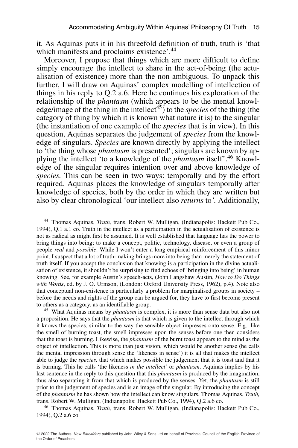it. As Aquinas puts it in his threefold definition of truth, truth is 'that which manifests and proclaims existence'.<sup>44</sup>

Moreover, I propose that things which are more difficult to define simply encourage the intellect to share in the act-of-being (the actualisation of existence) more than the non-ambiguous. To unpack this further, I will draw on Aquinas' complex modelling of intellection of things in his reply to Q.2 a.6. Here he continues his exploration of the relationship of the *phantasm* (which appears to be the mental knowledge/image of the thing in the intellect<sup>45</sup>) to the *species* of the thing (the category of thing by which it is known what nature it is) to the singular (the instantiation of one example of the *species* that is in view). In this question, Aquinas separates the judgement of *species* from the knowledge of singulars. *Species* are known directly by applying the intellect to 'the thing whose *phantasm* is presented'; singulars are known by applying the intellect 'to a knowledge of the *phantasm* itself'.46 Knowledge of the singular requires intention over and above knowledge of *species.* This can be seen in two ways: temporally and by the effort required. Aquinas places the knowledge of singulars temporally after knowledge of species, both by the order in which they are written but also by clear chronological 'our intellect also *returns* to*'.* Additionally,

<sup>44</sup> Thomas Aquinas, *Truth,* trans. Robert W. Mulligan, (Indianapolis: Hackett Pub Co., 1994), Q.1 a.1 co. Truth in the intellect as a participation in the actualisation of existence is not as radical as might first be assumed. It is well established that language has the power to bring things into being; to make a concept, politic, technology, disease, or even a group of people *real* and *possible*. While I won't enter a long empirical reinforcement of this minor point, I suspect that a lot of truth-making brings more into being than merely the statement of truth itself. If you accept the conclusion that knowing is a participation in the divine actualisation of existence, it shouldn't be surprising to find echoes of 'bringing into being' in human knowing. See, for example Austin's speech-acts, (John Langshaw Austin, *How to Do Things with Words*, ed. by J. O. Urmson, (London: Oxford University Press, 1962), p.4). Note also that conceptual non-existence is particularly a problem for marginalised groups in society – before the needs and rights of the group can be argued for, they have to first become present to others as a category, as an identifiable group.

<sup>45</sup> What Aquinas means by *phantasm* is complex, it is more than sense data but also not a proposition. He says that the *phantasm* is that which is given to the intellect through which it knows the species, similar to the way the sensible object impresses onto sense. E.g., like the smell of burning toast, the smell impresses upon the senses before one then considers that the toast is burning. Likewise, the *phantasm* of the burnt toast appears to the mind as the object of intellection. This is more than just vision, which would be another sense (he calls the mental impression through sense the 'likeness in sense') it is all that makes the intellect able to judge the *species,* that which makes possible the judgement that it is toast and that it is burning. This he calls 'the likeness *in the intellect'* or *phantasm*. Aquinas implies by his last sentence in the reply to this question that this *phantasm* is produced by the imagination, thus also separating it from that which is produced by the senses. Yet, the *phantasm* is still prior to the judgement of species and is an image of the singular. By introducing the concept of the *phantasm* he has shown how the intellect can know singulars. Thomas Aquinas, *Truth,* trans. Robert W. Mulligan, (Indianapolis: Hackett Pub Co., 1994), Q.2 a.6 co.

<sup>46</sup> Thomas Aquinas, *Truth,* trans. Robert W. Mulligan, (Indianapolis: Hackett Pub Co., 1994), Q.2 a.6 co.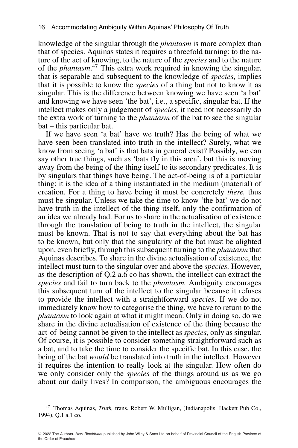knowledge of the singular through the *phantasm* is more complex than that of species. Aquinas states it requires a threefold turning: to the nature of the act of knowing, to the nature of the *species* and to the nature of the *phantasm*. <sup>47</sup> This extra work required in knowing the singular, that is separable and subsequent to the knowledge of *species*, implies that it is possible to know the *species* of a thing but not to know it as singular. This is the difference between knowing we have seen 'a bat' and knowing we have seen 'the bat', i.e., a specific, singular bat. If the intellect makes only a judgement of *species,* it need not necessarily do the extra work of turning to the *phantasm* of the bat to see the singular bat – this particular bat.

If we have seen 'a bat' have we truth? Has the being of what we have seen been translated into truth in the intellect? Surely, what we know from seeing 'a bat' is that bats in general exist? Possibly, we can say other true things, such as 'bats fly in this area', but this is moving away from the being of the thing itself to its secondary predicates. It is by singulars that things have being. The act-of-being is of a particular thing; it is the idea of a thing instantiated in the medium (material) of creation. For a thing to have being it must be concretely *there,* thus must be singular. Unless we take the time to know 'the bat' we do not have truth in the intellect of the thing itself, only the confirmation of an idea we already had. For us to share in the actualisation of existence through the translation of being to truth in the intellect, the singular must be known. That is not to say that everything about the bat has to be known, but only that the singularity of the bat must be alighted upon, even briefly, through this subsequent turning to the *phantasm* that Aquinas describes. To share in the divine actualisation of existence, the intellect must turn to the singular over and above the *species.* However, as the description of Q.2 a.6 co has shown, the intellect can extract the *species* and fail to turn back to the *phantasm.* Ambiguity encourages this subsequent turn of the intellect to the singular because it refuses to provide the intellect with a straightforward *species*. If we do not immediately know how to categorise the thing, we have to return to the *phantasm* to look again at what it might mean. Only in doing so, do we share in the divine actualisation of existence of the thing because the act-of-being cannot be given to the intellect as *species*, only as singular. Of course, it is possible to consider something straightforward such as a bat, and to take the time to consider the specific bat. In this case, the being of the bat *would* be translated into truth in the intellect. However it requires the intention to really look at the singular. How often do we only consider only the *species* of the things around us as we go about our daily lives? In comparison, the ambiguous encourages the

<sup>47</sup> Thomas Aquinas, *Truth,* trans. Robert W. Mulligan, (Indianapolis: Hackett Pub Co., 1994), Q.1 a.1 co.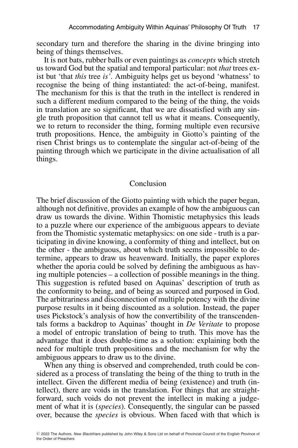secondary turn and therefore the sharing in the divine bringing into being of things themselves.

It is not bats, rubber balls or even paintings as *concepts* which stretch us toward God but the spatial and temporal particular: not *that* trees exist but 'that *this* tree *is'*. Ambiguity helps get us beyond 'whatness' to recognise the being of thing instantiated: the act-of-being, manifest. The mechanism for this is that the truth in the intellect is rendered in such a different medium compared to the being of the thing, the voids in translation are so significant, that we are dissatisfied with any single truth proposition that cannot tell us what it means. Consequently, we to return to reconsider the thing, forming multiple even recursive truth propositions. Hence, the ambiguity in Giotto's painting of the risen Christ brings us to contemplate the singular act-of-being of the painting through which we participate in the divine actualisation of all things.

#### Conclusion

The brief discussion of the Giotto painting with which the paper began, although not definitive, provides an example of how the ambiguous can draw us towards the divine. Within Thomistic metaphysics this leads to a puzzle where our experience of the ambiguous appears to deviate from the Thomistic systematic metaphysics: on one side - truth is a participating in divine knowing, a conformity of thing and intellect, but on the other - the ambiguous, about which truth seems impossible to determine, appears to draw us heavenward. Initially, the paper explores whether the aporia could be solved by defining the ambiguous as having multiple potencies – a collection of possible meanings in the thing. This suggestion is refuted based on Aquinas' description of truth as the conformity to being, and of being as sourced and purposed in God. The arbitrariness and disconnection of multiple potency with the divine purpose results in it being discounted as a solution. Instead, the paper uses Pickstock's analysis of how the convertibility of the transcendentals forms a backdrop to Aquinas' thought in *De Veritate* to propose a model of entropic translation of being to truth. This move has the advantage that it does double-time as a solution: explaining both the need for multiple truth propositions and the mechanism for why the ambiguous appears to draw us to the divine.

When any thing is observed and comprehended, truth could be considered as a process of translating the being of the thing to truth in the intellect. Given the different media of being (existence) and truth (intellect), there are voids in the translation. For things that are straightforward, such voids do not prevent the intellect in making a judgement of what it is (*species*). Consequently, the singular can be passed over, because the *species* is obvious. When faced with that which is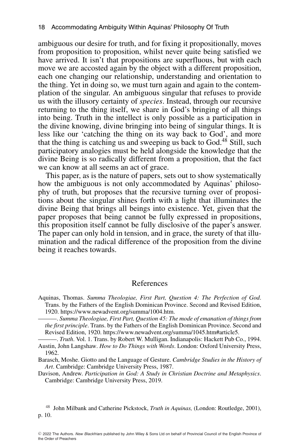ambiguous our desire for truth, and for fixing it propositionally, moves from proposition to proposition, whilst never quite being satisfied we have arrived. It isn't that propositions are superfluous, but with each move we are accosted again by the object with a different proposition, each one changing our relationship, understanding and orientation to the thing. Yet in doing so, we must turn again and again to the contemplation of the singular. An ambiguous singular that refuses to provide us with the illusory certainty of *species*. Instead, through our recursive returning to the thing itself, we share in God's bringing of all things into being. Truth in the intellect is only possible as a participation in the divine knowing, divine bringing into being of singular things. It is less like our 'catching the thing on its way back to God', and more that the thing is catching us and sweeping us back to God.<sup>48</sup> Still, such participatory analogies must be held alongside the knowledge that the divine Being is so radically different from a proposition, that the fact we can know at all seems an act of grace.

This paper, as is the nature of papers, sets out to show systematically how the ambiguous is not only accommodated by Aquinas' philosophy of truth, but proposes that the recursive turning over of propositions about the singular shines forth with a light that illuminates the divine Being that brings all beings into existence. Yet, given that the paper proposes that being cannot be fully expressed in propositions, this proposition itself cannot be fully disclosive of the paper's answer. The paper can only hold in tension, and in grace, the surety of that illumination and the radical difference of the proposition from the divine being it reaches towards.

#### References

———. *Summa Theologiae, First Part, Question 45: The mode of emanation of things from the first principle*. Trans. by the Fathers of the English Dominican Province. Second and Revised Edition, 1920. [https://www.newadvent.org/summa/1045.htm#article5.](https://www.newadvent.org/summa/1045.htm#article5)

———. *Truth*. Vol. 1. Trans. by Robert W. Mulligan. Indianapolis: Hackett Pub Co., 1994. Austin, John Langshaw. *How to Do Things with Words*. London: Oxford University Press, 1962.

Barasch, Moshe. Giotto and the Language of Gesture. *Cambridge Studies in the History of Art*. Cambridge: Cambridge University Press, 1987.

Davison, Andrew. *Participation in God: A Study in Christian Doctrine and Metaphysics*. Cambridge: Cambridge University Press, 2019.

<sup>48</sup> John Milbank and Catherine Pickstock, *Truth in Aquinas,* (London: Routledge, 2001), p. 10.

Aquinas, Thomas. *Summa Theologiae, First Part, Question 4: The Perfection of God*. Trans. by the Fathers of the English Dominican Province. Second and Revised Edition, 1920. [https://www.newadvent.org/summa/1004.htm.](https://www.newadvent.org/summa/1004.htm)